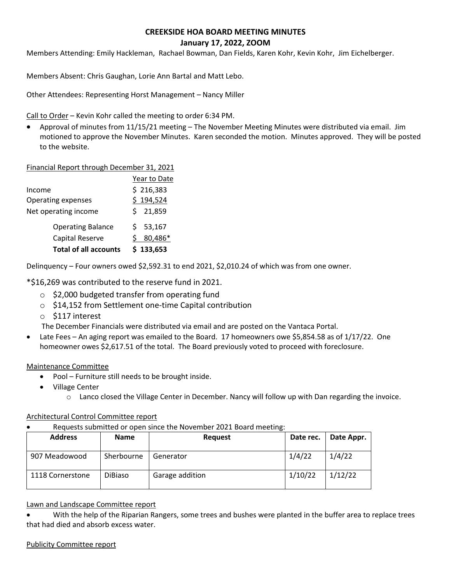# **CREEKSIDE HOA BOARD MEETING MINUTES January 17, 2022, ZOOM**

Members Attending: Emily Hackleman, Rachael Bowman, Dan Fields, Karen Kohr, Kevin Kohr, Jim Eichelberger.

Members Absent: Chris Gaughan, Lorie Ann Bartal and Matt Lebo.

Other Attendees: Representing Horst Management – Nancy Miller

Call to Order – Kevin Kohr called the meeting to order 6:34 PM.

• Approval of minutes from 11/15/21 meeting – The November Meeting Minutes were distributed via email. Jim motioned to approve the November Minutes. Karen seconded the motion. Minutes approved. They will be posted to the website.

### Financial Report through December 31, 2021

|                              | Year to Date |
|------------------------------|--------------|
| Income                       | \$216,383    |
| Operating expenses           | \$194,524    |
| Net operating income         | \$21,859     |
| <b>Operating Balance</b>     | 53,167<br>S. |
| Capital Reserve              | 80,486*      |
| <b>Total of all accounts</b> | \$133,653    |

Delinquency – Four owners owed \$2,592.31 to end 2021, \$2,010.24 of which was from one owner.

\*\$16,269 was contributed to the reserve fund in 2021.

- \$2,000 budgeted transfer from operating fund
- o \$14,152 from Settlement one-time Capital contribution
- o \$117 interest

The December Financials were distributed via email and are posted on the Vantaca Portal.

• Late Fees – An aging report was emailed to the Board. 17 homeowners owe \$5,854.58 as of 1/17/22. One homeowner owes \$2,617.51 of the total. The Board previously voted to proceed with foreclosure.

Maintenance Committee

- Pool Furniture still needs to be brought inside.
- Village Center
	- o Lanco closed the Village Center in December. Nancy will follow up with Dan regarding the invoice.

### Architectural Control Committee report

• Requests submitted or open since the November 2021 Board meeting:

| <b>Address</b>   | <b>Name</b>    | <b>Request</b>  | Date rec. | Date Appr. |
|------------------|----------------|-----------------|-----------|------------|
| 907 Meadowood    | Sherbourne     | Generator       | 1/4/22    | 1/4/22     |
| 1118 Cornerstone | <b>DiBiaso</b> | Garage addition | 1/10/22   | 1/12/22    |

### Lawn and Landscape Committee report

• With the help of the Riparian Rangers, some trees and bushes were planted in the buffer area to replace trees that had died and absorb excess water.

### Publicity Committee report